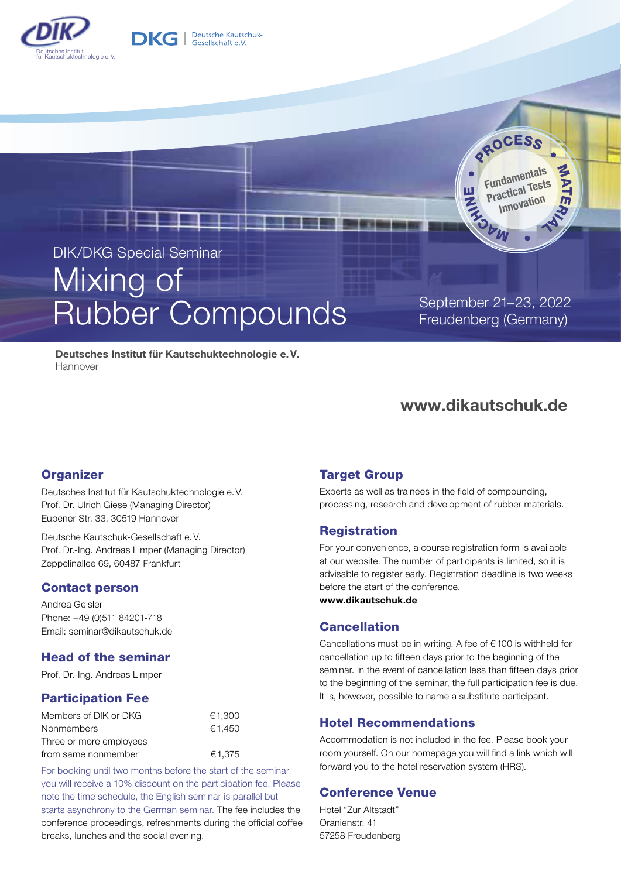



# Rubber Compounds September 21-23, 2022

**DKG** | Deutsche Kautschuk-

Freudenberg (Germany)

**bM** 

**OROCESS** 

Fundamentals Practical Tests Innovation

**MAT** 

ER A L

 $z<sub>o</sub>$  $\sum_{i=1}^n$  $\overline{\mathbf{u}}$ 

Deutsches Institut für Kautschuktechnologie e. V. **Hannover** 

### www.dikautschuk.de

#### **Organizer**

Deutsches Institut für Kautschuktechnologie e.V. Prof. Dr. Ulrich Giese (Managing Director) Eupener Str. 33, 30519 Hannover

Deutsche Kautschuk-Gesellschaft e.V. Prof. Dr.-Ing. Andreas Limper (Managing Director) Zeppelinallee 69, 60487 Frankfurt

#### Contact person

Andrea Geisler Phone: +49 (0)511 84201-718 Email: seminar@dikautschuk.de

#### Head of the seminar

Prof. Dr.-Ing. Andreas Limper

#### Participation Fee

| Members of DIK or DKG   | €1.300 |
|-------------------------|--------|
| <b>Nonmembers</b>       | €1.450 |
| Three or more employees |        |
| from same nonmember     | €1,375 |

For booking until two months before the start of the seminar you will receive a 10% discount on the participation fee. Please note the time schedule, the English seminar is parallel but starts asynchrony to the German seminar. The fee includes the conference proceedings, refreshments during the official coffee breaks, lunches and the social evening.

#### Target Group

Experts as well as trainees in the field of compounding, processing, research and development of rubber materials.

#### Registration

For your convenience, a course registration form is available at our website. The number of participants is limited, so it is advisable to register early. Registration deadline is two weeks before the start of the conference.

www.dikautschuk.de

#### Cancellation

Cancellations must be in writing. A fee of €100 is withheld for cancellation up to fifteen days prior to the beginning of the seminar. In the event of cancellation less than fifteen days prior to the beginning of the seminar, the full participation fee is due. It is, however, possible to name a substitute participant.

#### Hotel Recommendations

Accommodation is not included in the fee. Please book your room yourself. On our homepage you will find a link which will forward you to the hotel reservation system (HRS).

#### Conference Venue

Hotel "Zur Altstadt" Oranienstr. 41 57258 Freudenberg